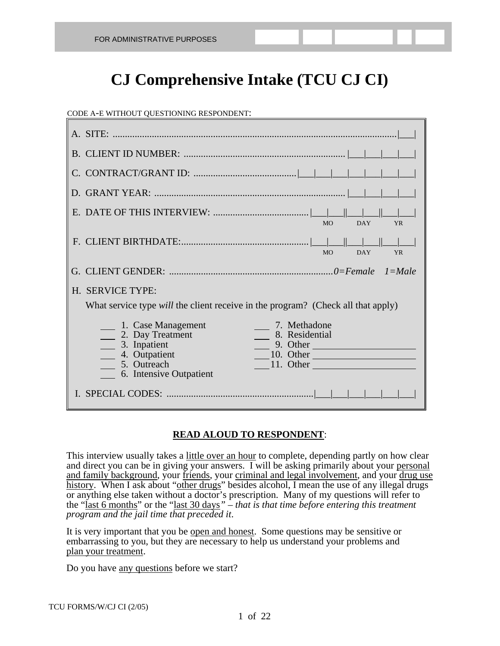# **CJ Comprehensive Intake (TCU CJ CI)**

#### CODE A-E WITHOUT QUESTIONING RESPONDENT:

| <b>MO</b><br><b>DAY</b><br><b>YR</b><br><b>MO</b><br><b>DAY</b><br><b>YR</b>                                                                                                                                      |
|-------------------------------------------------------------------------------------------------------------------------------------------------------------------------------------------------------------------|
|                                                                                                                                                                                                                   |
| H. SERVICE TYPE:<br>What service type <i>will</i> the client receive in the program? (Check all that apply)                                                                                                       |
|                                                                                                                                                                                                                   |
| 7. Methadone<br>$\qquad$ 1. Case Management<br>8. Residential<br>2. Day Treatment<br>3. Inpatient<br>9. Other<br>$\frac{10}{2}$ 10. Other<br>4. Outpatient<br>5. Outreach<br>11. Other<br>6. Intensive Outpatient |

#### **READ ALOUD TO RESPONDENT**:

This interview usually takes a little over an hour to complete, depending partly on how clear and direct you can be in giving your answers. I will be asking primarily about your personal and family background, your friends, your criminal and legal involvement, and your drug use history. When I ask about "other drugs" besides alcohol, I mean the use of any illegal drugs or anything else taken without a doctor's prescription. Many of my questions will refer to the "last 6 months" or the "last 30 days*" – that is that time before entering this treatment program and the jail time that preceded it*.

It is very important that you be open and honest. Some questions may be sensitive or embarrassing to you, but they are necessary to help us understand your problems and plan your treatment.

Do you have any questions before we start?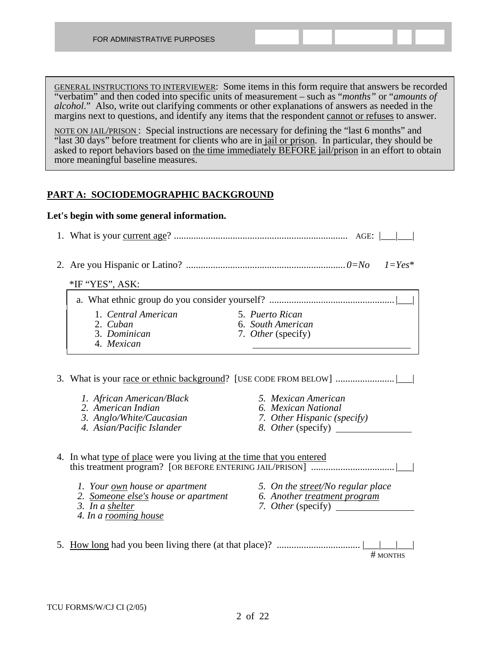| GENERAL INSTRUCTIONS TO INTERVIEWER: Some items in this form require that answers be recorded                   |
|-----------------------------------------------------------------------------------------------------------------|
| "verbatim" and then coded into specific units of measurement – such as " <i>months</i> " or " <i>amounts of</i> |
| <i>alcohol.</i> " Also, write out clarifying comments or other explanations of answers as needed in the         |
| margins next to questions, and identify any items that the respondent cannot or refuses to answer.              |

NOTE ON JAIL/PRISON: Special instructions are necessary for defining the "last 6 months" and "last 30 days" before treatment for clients who are in jail or prison. In particular, they should be asked to report behaviors based on the time immediately BEFORE jail/prison in an effort to obtain more meaningful baseline measures.

#### **PART A: SOCIODEMOGRAPHIC BACKGROUND**

#### **Let's begin with some general information.**

|    | *IF "YES", ASK:                                                       |                                      |
|----|-----------------------------------------------------------------------|--------------------------------------|
|    |                                                                       |                                      |
|    |                                                                       |                                      |
|    | 1. Central American<br>2. Cuban                                       | 5. Puerto Rican<br>6. South American |
|    | 3. Dominican                                                          | 7. Other (specify)                   |
|    | 4. Mexican                                                            |                                      |
|    |                                                                       |                                      |
|    |                                                                       |                                      |
|    | 1. African American/Black                                             | 5. Mexican American                  |
|    | 2. American Indian                                                    | 6. Mexican National                  |
|    | 3. Anglo/White/Caucasian                                              | 7. Other Hispanic (specify)          |
|    | 4. Asian/Pacific Islander                                             | 8. <i>Other</i> (specify)            |
|    | 4. In what type of place were you living at the time that you entered |                                      |
|    | 1. Your own house or apartment                                        | 5. On the street/No regular place    |
|    | 2. Someone else's house or apartment                                  | 6. Another treatment program         |
|    | 3. In a shelter<br>4. In a rooming house                              | 7. Other (specify)                   |
| 5. |                                                                       | # MONTHS                             |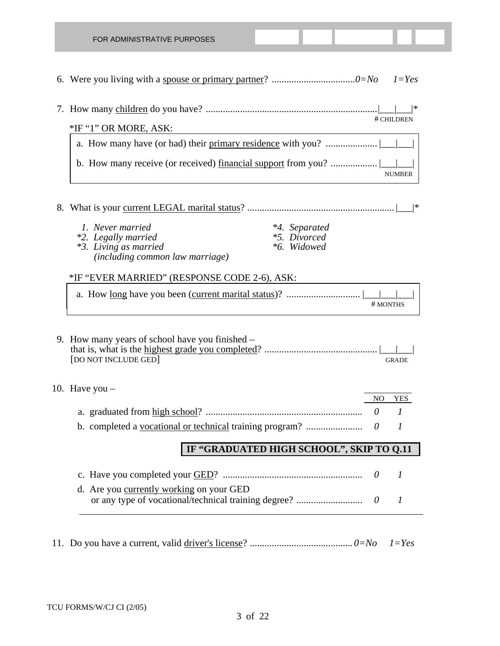| $1 = Yes$                                                                               |
|-----------------------------------------------------------------------------------------|
| *<br># CHILDREN                                                                         |
| *IF "1" OR MORE, ASK:                                                                   |
|                                                                                         |
| <b>NUMBER</b>                                                                           |
| *                                                                                       |
| 1. Never married<br>*4. Separated                                                       |
| <i>*5. Divorced</i><br>*2. Legally married<br>*6. Widowed<br>*3. Living as married      |
|                                                                                         |
| <i>(including common law marriage)</i>                                                  |
| *IF "EVER MARRIED" (RESPONSE CODE 2-6), ASK:                                            |
| # MONTHS                                                                                |
| 9. How many years of school have you finished –<br>[DO NOT INCLUDE GED]<br><b>GRADE</b> |
| 10. Have you $-$                                                                        |
| N <sub>O</sub><br><b>YES</b><br>$\theta$<br>1                                           |
| b. completed a vocational or technical training program?<br>1<br>$\theta$               |
| IF "GRADUATED HIGH SCHOOL", SKIP TO Q.11                                                |
| 1<br>$\theta$                                                                           |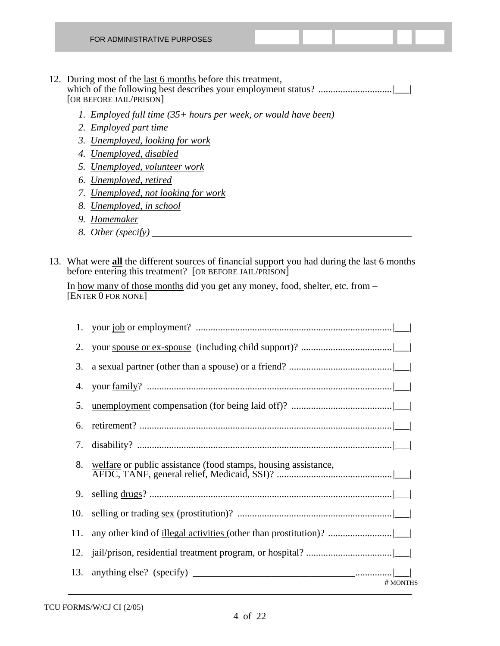| <b>FOR ADMINISTRATIVE PURPOSES</b> |  |  |  |
|------------------------------------|--|--|--|
|                                    |  |  |  |

#### 12. During most of the <u>last 6 months</u> before this treatment, which of the following best describes your employment status? ..............................|\_\_\_| [OR BEFORE JAIL/PRISON]

- *1. Employed full time (35+ hours per week, or would have been)*
- *2. Employed part time*
- *3. Unemployed, looking for work*
- *4. Unemployed, disabled*
- *5. Unemployed, volunteer work*
- *6. Unemployed, retired*
- *7. Unemployed, not looking for work*
- *8. Unemployed, in school*
- *9. Homemaker*
- *8. Other (specify)*
- 13. What were **all** the different sources of financial support you had during the last 6 months before entering this treatment? [OR BEFORE JAIL/PRISON]

 In how many of those months did you get any money, food, shelter, etc. from – [ENTER 0 FOR NONE]

| 1.  |                                                                |
|-----|----------------------------------------------------------------|
| 2.  |                                                                |
| 3.  |                                                                |
| 4.  |                                                                |
| 5.  |                                                                |
| 6.  |                                                                |
| 7.  |                                                                |
| 8.  | welfare or public assistance (food stamps, housing assistance, |
| 9.  |                                                                |
|     |                                                                |
| 11. |                                                                |
| 12. |                                                                |
| 13. | # MONTHS                                                       |
|     |                                                                |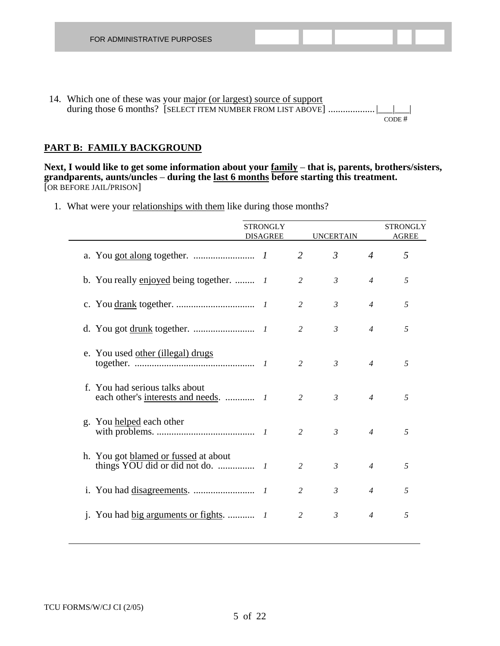14. Which one of these was your major (or largest) source of support during those 6 months? [SELECT ITEM NUMBER FROM LIST ABOVE] .................... CODE #

#### **PART B: FAMILY BACKGROUND**

**Next, I would like to get some information about your family** – **that is, parents, brothers/sisters, grandparents, aunts/uncles** – **during the last 6 months before starting this treatment.** [OR BEFORE JAIL/PRISON]

1. What were your relationships with them like during those months?

|                          |                                          | <b>STRONGLY</b><br><b>DISAGREE</b> |                | <b>UNCERTAIN</b> |                | <b>STRONGLY</b><br><b>AGREE</b> |
|--------------------------|------------------------------------------|------------------------------------|----------------|------------------|----------------|---------------------------------|
|                          |                                          |                                    | $\overline{2}$ | $\mathfrak{Z}$   | $\overline{4}$ | 5                               |
|                          | b. You really enjoyed being together.  1 |                                    | $\overline{2}$ | $\mathfrak{Z}$   | $\overline{4}$ | 5                               |
|                          |                                          |                                    | 2              | $\mathfrak{Z}$   | $\overline{4}$ | 5                               |
|                          |                                          |                                    | 2              | $\mathfrak{Z}$   | $\overline{4}$ | 5                               |
|                          | e. You used other (illegal) drugs        |                                    | 2              | $\mathfrak{Z}$   | $\overline{4}$ | 5                               |
|                          | f. You had serious talks about           |                                    | $\overline{2}$ | $\mathcal{E}$    | $\overline{4}$ | 5                               |
| g. You helped each other |                                          |                                    | 2              | $\mathfrak{Z}$   | $\overline{4}$ | 5                               |
|                          | h. You got blamed or fussed at about     |                                    | $\overline{2}$ | $\mathfrak{Z}$   | $\overline{4}$ | 5                               |
|                          |                                          |                                    | 2              | $\mathfrak{Z}$   | $\overline{4}$ | 5                               |
|                          |                                          |                                    | 2              | $\mathfrak{Z}$   | $\overline{4}$ | 5                               |
|                          |                                          |                                    |                |                  |                |                                 |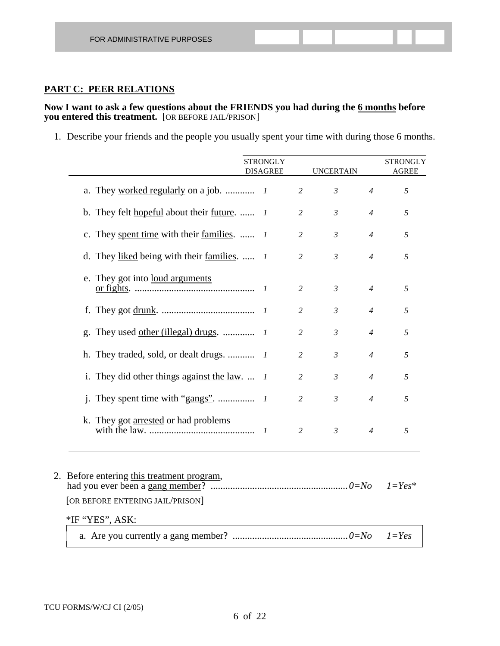#### **PART C: PEER RELATIONS**

#### **Now I want to ask a few questions about the FRIENDS you had during the 6 months before you entered this treatment.** [OR BEFORE JAIL/PRISON]

1. Describe your friends and the people you usually spent your time with during those 6 months.

|                                                                                                   | <b>STRONGLY</b><br><b>DISAGREE</b> |                | <b>UNCERTAIN</b> |                | <b>STRONGLY</b><br><b>AGREE</b> |
|---------------------------------------------------------------------------------------------------|------------------------------------|----------------|------------------|----------------|---------------------------------|
|                                                                                                   |                                    | 2              | $\mathfrak{Z}$   | $\overline{4}$ | 5                               |
| b. They felt hopeful about their future.  1                                                       |                                    | $\overline{2}$ | $\mathfrak{Z}$   | $\overline{4}$ | 5                               |
| c. They spent time with their families.  1                                                        |                                    | $\overline{c}$ | $\mathfrak{Z}$   | $\overline{4}$ | 5                               |
| d. They liked being with their families. $\bar{l}$                                                |                                    | $\overline{2}$ | $\mathfrak{Z}$   | $\overline{4}$ | 5                               |
| e. They got into <u>loud arguments</u>                                                            |                                    | 2              | $\mathfrak{Z}$   | $\overline{4}$ | 5                               |
|                                                                                                   |                                    | $\overline{2}$ | $\mathfrak{Z}$   | $\overline{4}$ | 5                               |
|                                                                                                   |                                    | 2              | $\mathfrak{Z}$   | $\overline{4}$ | 5                               |
|                                                                                                   |                                    | $\overline{c}$ | $\mathfrak{Z}$   | $\overline{4}$ | 5                               |
| i. They did other things against the law. $\ldots$ 1                                              |                                    | 2              | $\mathfrak{Z}$   | $\overline{4}$ | 5                               |
|                                                                                                   |                                    | $\overline{2}$ | $\mathfrak{Z}$   | $\overline{4}$ | 5                               |
| k. They got arrested or had problems                                                              |                                    | $\overline{2}$ | $\mathfrak{Z}$   | $\overline{4}$ | 5                               |
| 2. Before entering this treatment program,<br>[OR BEFORE ENTERING JAIL/PRISON]<br>*IF "YES", ASK: |                                    |                |                  |                | $1 = Yes^*$                     |
|                                                                                                   |                                    |                |                  |                | $1 = Yes$                       |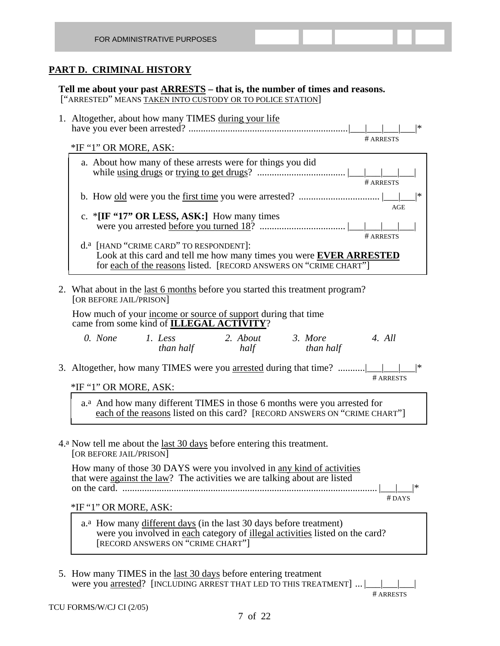### **PART D. CRIMINAL HISTORY**

**Tell me about your past ARRESTS – that is, the number of times and reasons.** ["ARRESTED" MEANS TAKEN INTO CUSTODY OR TO POLICE STATION]

| 1. Altogether, about how many TIMES during your life<br> *                                                                                                                                            |
|-------------------------------------------------------------------------------------------------------------------------------------------------------------------------------------------------------|
| # ARRESTS                                                                                                                                                                                             |
| *IF "1" OR MORE, ASK:                                                                                                                                                                                 |
| a. About how many of these arrests were for things you did<br># ARRESTS                                                                                                                               |
| *                                                                                                                                                                                                     |
| AGE<br>c. * $[IF "17" OR LESS, ASK!]$ How many times<br># ARRESTS                                                                                                                                     |
| d. <sup>a</sup> [HAND "CRIME CARD" TO RESPONDENT]:<br>Look at this card and tell me how many times you were <b>EVER ARRESTED</b><br>for each of the reasons listed. [RECORD ANSWERS ON "CRIME CHART"] |
| 2. What about in the last 6 months before you started this treatment program?<br>[OR BEFORE JAIL/PRISON]                                                                                              |
| How much of your income or source of support during that time<br>came from some kind of <b>ILLEGAL ACTIVITY</b> ?                                                                                     |
| 0. None<br>2. About<br>3. More<br>4. All<br>1. Less<br>than half<br>than half<br>half                                                                                                                 |
| 3. Altogether, how many TIMES were you arrested during that time?<br> *<br># ARRESTS                                                                                                                  |
| *IF "1" OR MORE, ASK:                                                                                                                                                                                 |
| a. <sup>a</sup> And how many different TIMES in those 6 months were you arrested for<br>each of the reasons listed on this card? [RECORD ANSWERS ON "CRIME CHART"]                                    |
| 4.ª Now tell me about the <u>last 30 days</u> before entering this treatment.<br>[OR BEFORE JAIL/PRISON]                                                                                              |
| How many of those 30 DAYS were you involved in any kind of activities<br>that were against the law? The activities we are talking about are listed<br> *<br>$#$ DAYS                                  |
| *IF "1" OR MORE, ASK:                                                                                                                                                                                 |
| a. <sup>a</sup> How many different days (in the last 30 days before treatment)<br>were you involved in each category of illegal activities listed on the card?<br>[RECORD ANSWERS ON "CRIME CHART"]   |
|                                                                                                                                                                                                       |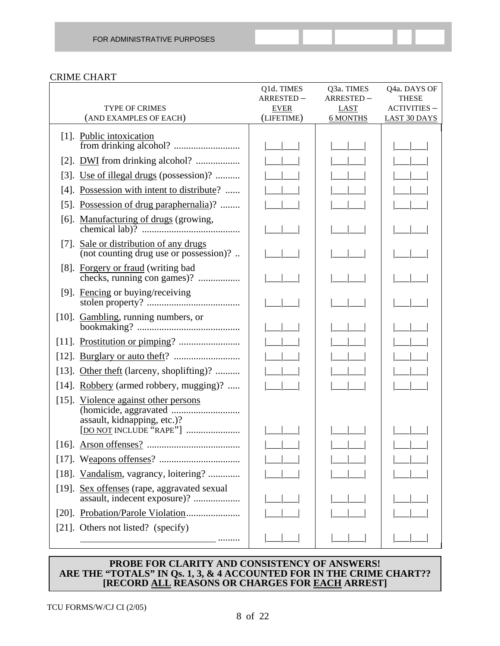#### CRIME CHART

|                                                                                                | Q1d. TIMES                | Q3a. TIMES              | Q4a. DAYS OF                               |
|------------------------------------------------------------------------------------------------|---------------------------|-------------------------|--------------------------------------------|
|                                                                                                | ARRESTED-                 | ARRESTED-               | <b>THESE</b>                               |
| <b>TYPE OF CRIMES</b><br>(AND EXAMPLES OF EACH)                                                | <b>EVER</b><br>(LIFETIME) | LAST<br><b>6 MONTHS</b> | <b>ACTIVITIES -</b><br><b>LAST 30 DAYS</b> |
|                                                                                                |                           |                         |                                            |
| [1]. Public intoxication                                                                       |                           |                         |                                            |
|                                                                                                |                           |                         |                                            |
| [2]. <b>DWI</b> from drinking alcohol?                                                         |                           |                         |                                            |
| [3]. Use of illegal drugs (possession)?                                                        |                           |                         |                                            |
| [4]. Possession with intent to distribute?                                                     |                           |                         |                                            |
| [5]. Possession of drug paraphernalia)?                                                        |                           |                         |                                            |
|                                                                                                |                           |                         |                                            |
| [7]. Sale or distribution of any drugs<br>(not counting drug use or possession)?               |                           |                         |                                            |
| [8]. Forgery or fraud (writing bad<br>checks, running con games)?                              |                           |                         |                                            |
| [9]. Fencing or buying/receiving                                                               |                           |                         |                                            |
| [10]. Gambling, running numbers, or                                                            |                           |                         |                                            |
|                                                                                                |                           |                         |                                            |
|                                                                                                |                           |                         |                                            |
| [13]. Other theft (larceny, shoplifting)?                                                      |                           |                         |                                            |
| [14]. Robbery (armed robbery, mugging)?                                                        |                           |                         |                                            |
| [15]. Violence against other persons<br>assault, kidnapping, etc.)?<br>[DO NOT INCLUDE "RAPE"] |                           |                         |                                            |
|                                                                                                |                           |                         |                                            |
|                                                                                                |                           |                         |                                            |
| [18]. Vandalism, vagrancy, loitering?                                                          |                           |                         |                                            |
| [19]. Sex offenses (rape, aggravated sexual<br>assault, indecent exposure)?                    |                           |                         |                                            |
|                                                                                                |                           |                         |                                            |
| [21]. Others not listed? (specify)                                                             |                           |                         |                                            |
|                                                                                                |                           |                         |                                            |

#### **PROBE FOR CLARITY AND CONSISTENCY OF ANSWERS! ARE THE "TOTALS" IN Qs. 1, 3, & 4 ACCOUNTED FOR IN THE CRIME CHART?? [RECORD ALL REASONS OR CHARGES FOR EACH ARREST]**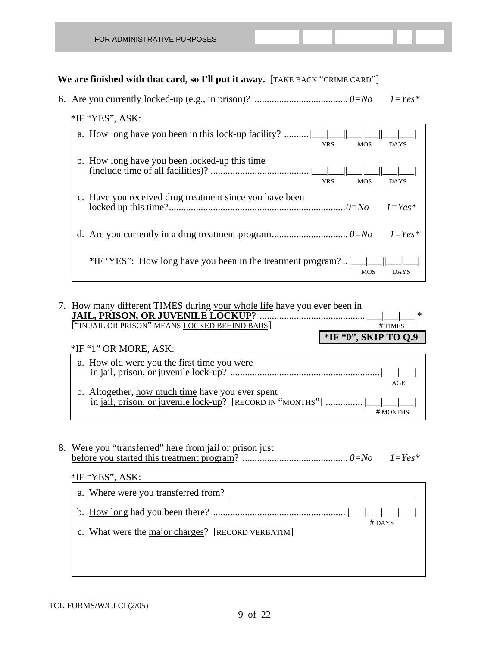6. Are you currently locked-up (e.g., in prison)? ...................................... *0=No 1=Yes\** 

#### \*IF "YES", ASK:

| a. How long have you been in this lock-up facility?<br><b>YRS</b> | <b>MOS</b> | <b>DAYS</b>   |
|-------------------------------------------------------------------|------------|---------------|
| b. How long have you been locked-up this time<br><b>YRS</b>       | <b>MOS</b> | <b>DAYS</b>   |
| c. Have you received drug treatment since you have been           |            | $l = Y e s^*$ |
|                                                                   |            |               |
| *IF 'YES": How long have you been in the treatment program?       | <b>MOS</b> | <b>DAYS</b>   |

#### 7. How many different TIMES during your whole life have you ever been in **JAIL, PRISON, OR JUVENILE LOCKUP**? ...........................................|\_\_\_|\_\_\_|\_\_\_|\* ["IN JAIL OR PRISON" MEANS LOCKED BEHIND BARS] # TIMES **\*IF "0", SKIP TO Q.9** \*IF "1" OR MORE, ASK: a. How old were you the first time you were in jail, prison, or juvenile lock-up? .............................................................|\_\_\_|\_\_\_| and the contract of the contract of the contract of the contract of the contract of the contract of the contract of the contract of the contract of the contract of the contract of the contract of the contract of the contra b. Altogether, how much time have you ever spent in jail, prison, or juvenile  $\overline{lock-up}$ ? [RECORD IN "MONTHS"] ............... # MONTHS

 8. Were you "transferred" here from jail or prison just before you started this treatment program? ........................................... *0=No 1=Yes\** 

| $*$ IF "YES", ASK:                                |          |
|---------------------------------------------------|----------|
| a. Where were you transferred from?               |          |
|                                                   | $#$ DAYS |
| c. What were the major charges? [RECORD VERBATIM] |          |
|                                                   |          |
|                                                   |          |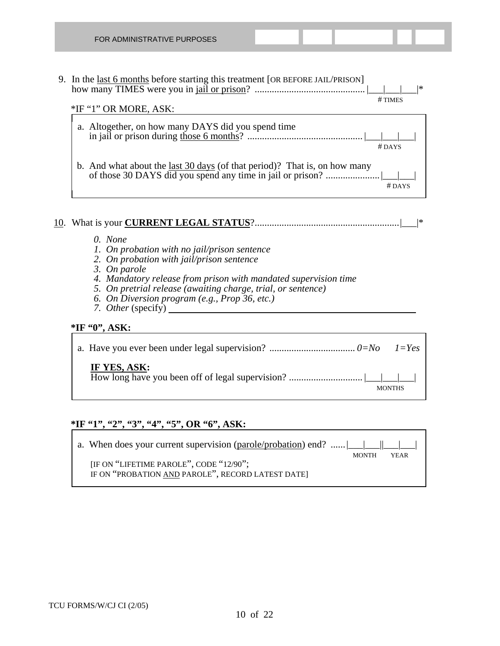9. In the last 6 months before starting this treatment [OR BEFORE JAIL/PRISON] how many TIMES were you in jail or prison? ............................................. |\_\_\_|\_\_\_|\_\_\_|\*

 # TIMES \*IF "1" OR MORE, ASK: a. Altogether, on how many DAYS did you spend time in jail or prison during those 6 months? ............................................... |\_\_\_|\_\_\_|\_\_\_| # DAYS b. And what about the <u>last 30 days</u> (of that period)? That is, on how many of those 30 DAYS did you spend any time in jail or prison? ......................|\_\_\_|\_\_\_| # DAYS

#### 10. What is your **CURRENT LEGAL STATUS**?...........................................................|\_\_\_|\*

- *0. None*
- *1. On probation with no jail/prison sentence*
- *2. On probation with jail/prison sentence*
- *3. On parole*
- *4. Mandatory release from prison with mandated supervision time*
- *5. On pretrial release (awaiting charge, trial, or sentence)*
- *6. On Diversion program (e.g., Prop 36, etc.)*
- *7. Other* (specify)

#### **\*IF "0", ASK:**

| IF YES, ASK: | <b>MONTHS</b> |
|--------------|---------------|

#### **\*IF "1", "2", "3", "4", "5", OR "6", ASK:**

a. When does your current supervision (parole/probation) end? ...... |\_\_\_\_\_\_\_|

MONTH YEAR

[IF ON "LIFETIME PAROLE", CODE "12/90"; IF ON "PROBATION AND PAROLE", RECORD LATEST DATE]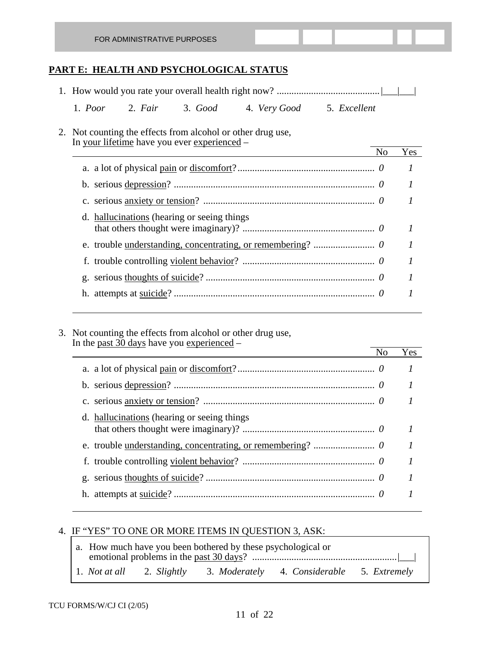| FOR ADMINISTRATIVE PURPOSES |  |  |  |  |  |  |  |
|-----------------------------|--|--|--|--|--|--|--|
|-----------------------------|--|--|--|--|--|--|--|

#### **PART E: HEALTH AND PSYCHOLOGICAL STATUS**

| 1. Poor 2. Fair 3. Good 4. Very Good 5. Excellent                                                           |     |
|-------------------------------------------------------------------------------------------------------------|-----|
| 2. Not counting the effects from alcohol or other drug use,<br>In your lifetime have you ever experienced – |     |
| N <sub>0</sub>                                                                                              | Yes |
|                                                                                                             | 1   |
|                                                                                                             | 1   |
|                                                                                                             |     |
| d. hallucinations (hearing or seeing things)                                                                |     |
|                                                                                                             |     |
|                                                                                                             |     |
|                                                                                                             |     |
|                                                                                                             |     |
|                                                                                                             |     |

 3. Not counting the effects from alcohol or other drug use, In the <u>past 30 days</u> have you experienced –

|                                              | No | Yes |
|----------------------------------------------|----|-----|
|                                              |    |     |
|                                              |    |     |
|                                              |    |     |
| d. hallucinations (hearing or seeing things) |    |     |
|                                              |    |     |
|                                              |    |     |
|                                              |    |     |
|                                              |    |     |
|                                              |    |     |

 $\overline{a}$ 

#### 4. IF "YES" TO ONE OR MORE ITEMS IN QUESTION 3, ASK:

|  | a. How much have you been bothered by these psychological or |                                                                      |  |
|--|--------------------------------------------------------------|----------------------------------------------------------------------|--|
|  |                                                              | 1. Not at all 2. Slightly 3. Moderately 4. Considerable 5. Extremely |  |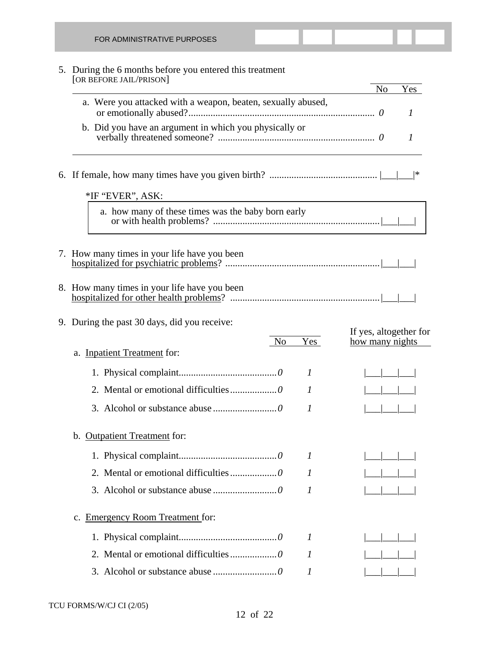| FOR ADMINISTRATIVE PURPOSES                                                         |                        |
|-------------------------------------------------------------------------------------|------------------------|
| 5. During the 6 months before you entered this treatment<br>[OR BEFORE JAIL/PRISON] | N <sub>o</sub><br>Yes  |
| a. Were you attacked with a weapon, beaten, sexually abused,                        | 1                      |
| b. Did you have an argument in which you physically or                              | 1                      |
| *IF "EVER", ASK:                                                                    | ∣∗                     |
| a. how many of these times was the baby born early                                  |                        |
| 7. How many times in your life have you been                                        |                        |
| 8. How many times in your life have you been                                        |                        |
| 9. During the past 30 days, did you receive:                                        | If yes, altogether for |
| Yes<br>N <sub>o</sub><br>a. Inpatient Treatment for:                                | how many nights        |
| 1                                                                                   |                        |
| 1                                                                                   |                        |
| $\prime$                                                                            |                        |
| b. Outpatient Treatment for:                                                        |                        |
| I                                                                                   |                        |
| $\mathcal{I}$                                                                       |                        |
| 1                                                                                   |                        |
| c. Emergency Room Treatment for:                                                    |                        |
| $\boldsymbol{l}$                                                                    |                        |
| 1                                                                                   |                        |
| 1                                                                                   |                        |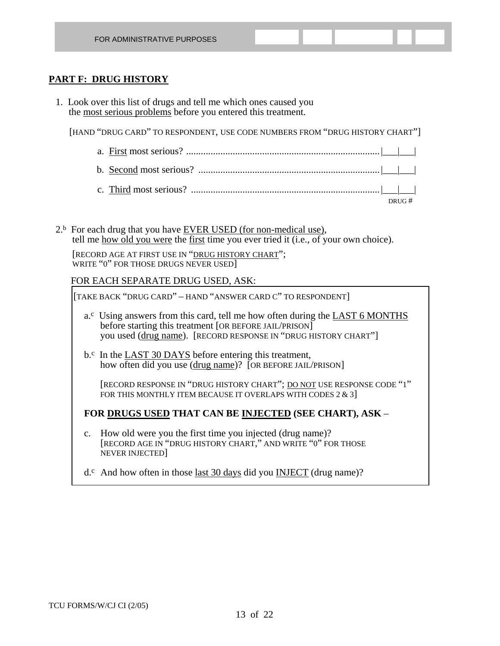#### **PART F: DRUG HISTORY**

 1. Look over this list of drugs and tell me which ones caused you the most serious problems before you entered this treatment.

[HAND "DRUG CARD" TO RESPONDENT, USE CODE NUMBERS FROM "DRUG HISTORY CHART"]

- a. First most serious? ...............................................................................|\_\_\_|\_\_\_| b. Second most serious? ..........................................................................|\_\_\_|\_\_\_| c. Third most serious? .............................................................................|\_\_\_|\_\_\_| DRUG #
	- $2<sup>b</sup>$  For each drug that you have EVER USED (for non-medical use), tell me how old you were the first time you ever tried it (i.e., of your own choice).

 [RECORD AGE AT FIRST USE IN "DRUG HISTORY CHART"; WRITE "0" FOR THOSE DRUGS NEVER USED]

#### FOR EACH SEPARATE DRUG USED, ASK:

[TAKE BACK "DRUG CARD" – HAND "ANSWER CARD C" TO RESPONDENT]

- a.<sup>c</sup> Using answers from this card, tell me how often during the LAST 6 MONTHS before starting this treatment [OR BEFORE JAIL/PRISON] you used (drug name). [RECORD RESPONSE IN "DRUG HISTORY CHART"]
- b.<sup>c</sup> In the LAST 30 DAYS before entering this treatment, how often did you use (drug name)? [OR BEFORE JAIL/PRISON]

 [RECORD RESPONSE IN "DRUG HISTORY CHART"; DO NOT USE RESPONSE CODE "1" FOR THIS MONTHLY ITEM BECAUSE IT OVERLAPS WITH CODES 2 & 3]

#### **FOR DRUGS USED THAT CAN BE INJECTED (SEE CHART), ASK** –

 c. How old were you the first time you injected (drug name)? [RECORD AGE IN "DRUG HISTORY CHART," AND WRITE "0" FOR THOSE NEVER INJECTED]

 $d^c$ . And how often in those last 30 days did you INJECT (drug name)?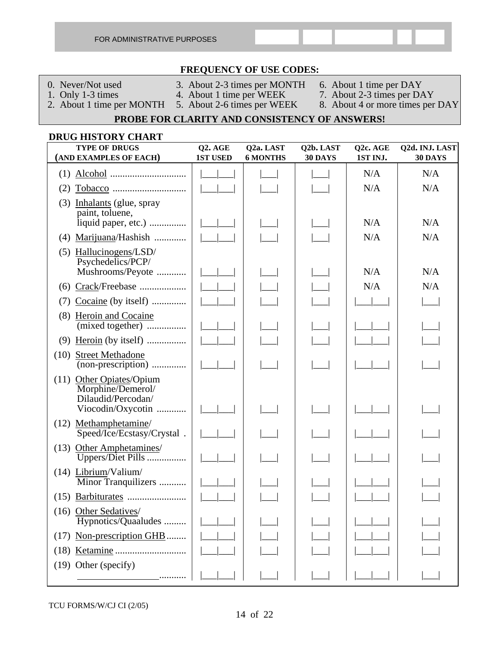| FOR ADMINISTRATIVE PURPOSES |  |
|-----------------------------|--|
|-----------------------------|--|

#### **FREQUENCY OF USE CODES:**

- 
- 0. Never/Not used 3. About 2-3 times per MONTH 6. About 1 time per DAY<br>1. Only 1-3 times 4. About 1 time per WEEK 7. About 2-3 times per DA
	-
- 
- 
- 
- 
- 1. Only 1-3 times 4. About 1 time per WEEK 7. About 2-3 times per DAY<br>2. About 1 time per MONTH 5. About 2-6 times per WEEK 8. About 4 or more times per
	-
	-
- 8. About 4 or more times per DAY

#### **PROBE FOR CLARITY AND CONSISTENCY OF ANSWERS!**

# **DRUG HISTORY CHART TYPE OF DRUGS Q2. AGE Q2a. LAST Q2b. LAST Q2c. AGE Q2d. INJ. LAST (AND EXAMPLES OF EACH) 1ST USED 6 MONTHS 30 DAYS 1ST INJ. 30 DAYS** (1) Alcohol ............................... |\_\_\_|\_\_\_| |\_\_\_| |\_\_\_| N/A N/A (2) Tobacco .............................. |\_\_\_|\_\_\_| |\_\_\_| |\_\_\_| N/A N/A (3) Inhalants (glue, spray paint, toluene, liquid paper, etc.) ............... |\_\_\_|\_\_\_| |\_\_\_| |\_\_\_| N/A N/A (4) Marijuana/Hashish ............. |\_\_\_|\_\_\_| |\_\_\_| |\_\_\_| N/A N/A (5) Hallucinogens/LSD/ Psychedelics/PCP/ Mushrooms/Peyote ............ |\_\_\_|\_\_\_| |\_\_\_| |\_\_\_| N/A N/A (6) Crack/Freebase ................... |\_\_\_|\_\_\_| |\_\_\_| |\_\_\_| N/A N/A (7) Cocaine (by itself) .............. |\_\_\_|\_\_\_| |\_\_\_| |\_\_\_| |\_\_\_|\_\_\_| |\_\_\_| (8) Heroin and Cocaine (mixed together) ................ |\_\_\_|\_\_\_| |\_\_\_| |\_\_\_| |\_\_\_|\_\_\_| |\_\_\_| (9) Heroin (by itself) ................ |\_\_\_|\_\_\_| |\_\_\_| |\_\_\_| |\_\_\_|\_\_\_| |\_\_\_| (10) Street Methadone (non-prescription) .............. |\_\_\_|\_\_\_| |\_\_\_| |\_\_\_| |\_\_\_|\_\_\_| |\_\_\_| (11) Other Opiates/Opium Morphine/Demerol/ Dilaudid/Percodan/ Viocodin/Oxycotin ............ (12) Methamphetamine/ Speed/Ice/Ecstasy/Crystal. (13) Other Amphetamines/ Uppers/Diet Pills ................ (14) Librium/Valium/ Minor Tranquilizers .......... (15) Barbiturates ........................ |\_\_\_|\_\_\_| |\_\_\_| |\_\_\_| |\_\_\_|\_\_\_| |\_\_\_| (16) Other Sedatives/ Hypnotics/Quaaludes .........  $(17)$  Non-prescription GHB........ (18) Ketamine ............................. |\_\_\_|\_\_\_| |\_\_\_| |\_\_\_| |\_\_\_|\_\_\_| |\_\_\_| (19) Other (specify) ........... |\_\_\_|\_\_\_| |\_\_\_| |\_\_\_| |\_\_\_|\_\_\_| |\_\_\_|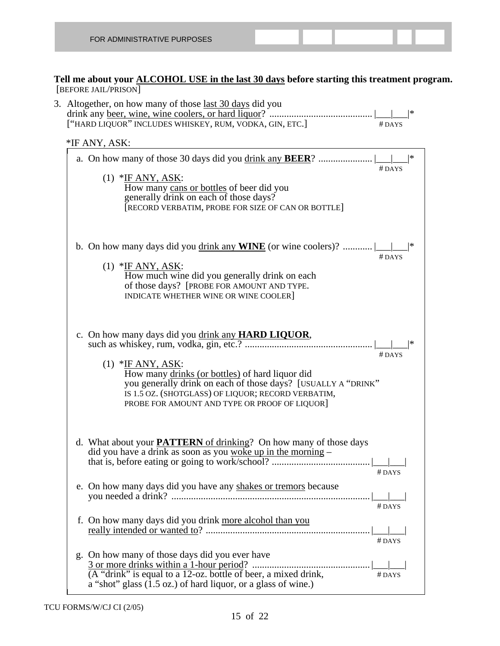**Tell me about your ALCOHOL USE in the last 30 days before starting this treatment program.** [BEFORE JAIL/PRISON]

| ["HARD LIQUOR" INCLUDES WHISKEY, RUM, VODKA, GIN, ETC.]                                                                                                                                                                                        | $#$ DAYS |
|------------------------------------------------------------------------------------------------------------------------------------------------------------------------------------------------------------------------------------------------|----------|
| *IF ANY, ASK:                                                                                                                                                                                                                                  |          |
|                                                                                                                                                                                                                                                | $#$ DAYS |
| $(1)$ *IF ANY, ASK:<br>How many cans or bottles of beer did you<br>generally drink on each of those days?<br>[RECORD VERBATIM, PROBE FOR SIZE OF CAN OR BOTTLE]                                                                                |          |
|                                                                                                                                                                                                                                                | $#$ DAYS |
| $(1)$ *IF ANY, ASK:<br>How much wine did you generally drink on each<br>of those days? [PROBE FOR AMOUNT AND TYPE.<br>INDICATE WHETHER WINE OR WINE COOLER]                                                                                    |          |
|                                                                                                                                                                                                                                                | $#$ DAYS |
| $(1)$ *IF ANY, ASK:<br>How many drinks (or bottles) of hard liquor did<br>you generally drink on each of those days? [USUALLY A "DRINK"<br>IS 1.5 OZ. (SHOTGLASS) OF LIQUOR; RECORD VERBATIM,<br>PROBE FOR AMOUNT AND TYPE OR PROOF OF LIQUOR] |          |
| d. What about your <b>PATTERN</b> of drinking? On how many of those days<br>did you have a drink as soon as you woke up in the morning -                                                                                                       | #DAYS    |
| e. On how many days did you have any shakes or tremors because                                                                                                                                                                                 | #DAYS    |
| f. On how many days did you drink more alcohol than you                                                                                                                                                                                        | $#$ DAYS |
| g. On how many of those days did you ever have<br>(A "drink" is equal to a 12-oz. bottle of beer, a mixed drink,<br>a "shot" glass (1.5 oz.) of hard liquor, or a glass of wine.)                                                              | #DAYS    |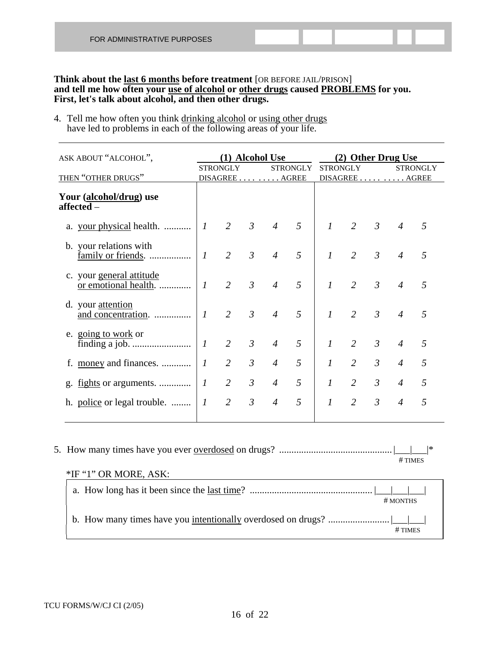#### **Think about the last 6 months before treatment** [OR BEFORE JAIL/PRISON] **and tell me how often your use of alcohol or other drugs caused PROBLEMS for you. First, let's talk about alcohol, and then other drugs.**

4. Tell me how often you think drinking alcohol or using other drugs have led to problems in each of the following areas of your life.

|                  |                |                 |                |   |                                                        |                |                 |                | <b>STRONGLY</b>                        |
|------------------|----------------|-----------------|----------------|---|--------------------------------------------------------|----------------|-----------------|----------------|----------------------------------------|
|                  |                |                 |                |   |                                                        |                |                 |                |                                        |
| $\boldsymbol{l}$ | 2              | $\mathcal{E}$   | $\overline{4}$ | 5 | $\mathcal{I}$                                          | $\overline{2}$ | $\mathcal{E}$   | $\overline{4}$ | 5                                      |
| $\mathcal{I}$    | $\overline{2}$ | $\mathfrak{Z}$  | $\overline{4}$ | 5 | $\mathcal{I}$                                          | 2              | $\mathfrak{Z}$  | $\overline{4}$ | 5                                      |
| $\overline{I}$   | $\overline{2}$ | $\mathfrak{Z}$  | $\overline{4}$ | 5 | $\mathcal{I}$                                          | 2              | $\overline{3}$  | $\overline{4}$ | 5                                      |
| $\overline{I}$   | $\overline{2}$ | $\mathfrak{Z}$  | $\overline{4}$ | 5 | $\mathcal{I}$                                          | 2              | $\overline{3}$  | $\overline{4}$ | 5                                      |
| $\boldsymbol{l}$ | $\overline{2}$ | $\mathfrak{Z}$  | $\overline{4}$ | 5 | $\mathcal{I}$                                          | 2              | $\mathfrak{Z}$  | $\overline{4}$ | 5                                      |
| $\overline{I}$   | $\overline{2}$ | $\mathfrak{Z}$  | $\overline{4}$ | 5 | $\mathcal{I}$                                          | 2              | $\mathfrak{Z}$  | $\overline{4}$ | 5                                      |
| $\mathcal{I}$    | $\overline{2}$ | $\mathfrak{Z}$  | $\overline{4}$ | 5 | $\mathcal{I}$                                          | $\overline{2}$ | $\mathfrak{Z}$  | $\overline{4}$ | 5                                      |
| $\boldsymbol{l}$ | $\overline{2}$ | $\mathfrak{Z}$  | $\overline{4}$ | 5 | $\mathcal{I}$                                          | $\overline{2}$ | $\mathfrak{Z}$  | $\overline{4}$ | 5                                      |
|                  |                | <b>STRONGLY</b> |                |   | (1) Alcohol Use<br><b>STRONGLY</b><br>DISAGREE   AGREE |                | <b>STRONGLY</b> |                | (2) Other Drug Use<br>DISAGREE   AGREE |

 5. How many times have you ever overdosed on drugs? .............................................. |\_\_\_|\_\_\_|\* # TIMES

| $#$ MONTHS |
|------------|
|            |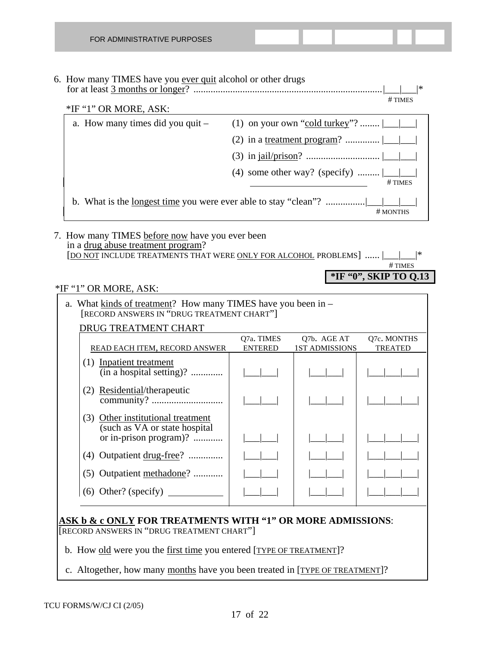# 6. How many TIMES have you ever quit alcohol or other drugs

 for at least 3 months or longer? .............................................................................|\_\_\_|\_\_\_|\* # TIMES

\*IF "1" OR MORE, ASK: a. How many times did you quit  $-$  (1) on your own "cold turkey"? .......  $\boxed{\phantom{a}}$  (2) in a treatment program? .............. |\_\_\_|\_\_\_| (3) in jail/prison? .............................. |\_\_\_|\_\_\_| (4) some other way? (specify) .........  $\frac{\square}{\square \text{mES}}$ b. What is the <u>longest time</u> you were ever able to stay "clean"? ................|<br>| # MONTHS

 7. How many TIMES before now have you ever been in a drug abuse treatment program? [DO NOT INCLUDE TREATMENTS THAT WERE ONLY FOR ALCOHOL PROBLEMS] ...... | # TIMES

#### **\*IF "0", SKIP TO Q.13**

#### \*IF "1" OR MORE, ASK:

| a. What kinds of treatment? How many TIMES have you been in –<br>[RECORD ANSWERS IN "DRUG TREATMENT CHART"] |                |                       |                |  |  |
|-------------------------------------------------------------------------------------------------------------|----------------|-----------------------|----------------|--|--|
| DRUG TREATMENT CHART                                                                                        |                |                       |                |  |  |
|                                                                                                             | Q7a. TIMES     | Q7b. AGE AT           | Q7c. MONTHS    |  |  |
| READ EACH ITEM, RECORD ANSWER                                                                               | <b>ENTERED</b> | <b>1ST ADMISSIONS</b> | <b>TREATED</b> |  |  |
| (1) Inpatient treatment                                                                                     |                |                       |                |  |  |
| Residential/therapeutic<br>(2)                                                                              |                |                       |                |  |  |
| Other institutional treatment<br>(3)<br>(such as VA or state hospital)<br>or in-prison program)?            |                |                       |                |  |  |
| (4) Outpatient drug-free?                                                                                   |                |                       |                |  |  |
| (5) Outpatient methadone?                                                                                   |                |                       |                |  |  |
| (6) Other? (specify) $\qquad$                                                                               |                |                       |                |  |  |

#### **ASK b & c ONLY FOR TREATMENTS WITH "1" OR MORE ADMISSIONS**: [RECORD ANSWERS IN "DRUG TREATMENT CHART"]

b. How old were you the first time you entered [TYPE OF TREATMENT]?

c. Altogether, how many months have you been treated in [TYPE OF TREATMENT]?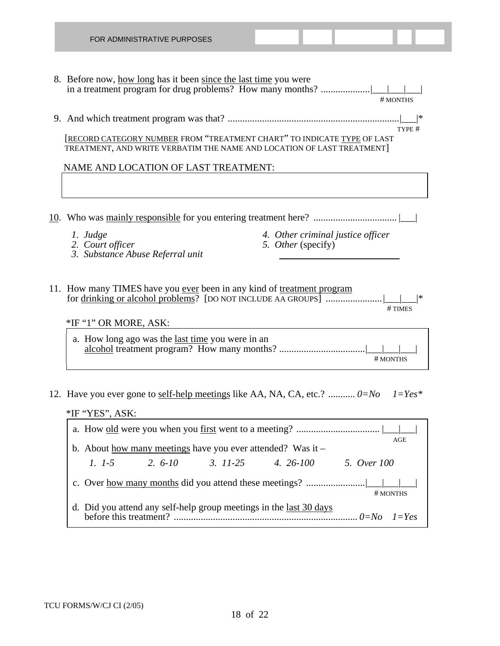| FOR ADMINISTRATIVE PURPOSES                                                                                                                       |
|---------------------------------------------------------------------------------------------------------------------------------------------------|
| 8. Before now, how long has it been since the last time you were<br># MONTHS                                                                      |
| *<br>TYPE #                                                                                                                                       |
| [RECORD CATEGORY NUMBER FROM "TREATMENT CHART" TO INDICATE TYPE OF LAST<br>TREATMENT, AND WRITE VERBATIM THE NAME AND LOCATION OF LAST TREATMENT] |
| NAME AND LOCATION OF LAST TREATMENT:                                                                                                              |
|                                                                                                                                                   |
|                                                                                                                                                   |
| 4. Other criminal justice officer<br>1. Judge<br>5. Other (specify)<br>2. Court officer<br>3. Substance Abuse Referral unit                       |
| 11. How many TIMES have you ever been in any kind of treatment program<br> *<br># TIMES<br>*IF "1" OR MORE, ASK:                                  |
| a. How long ago was the <u>last time</u> you were in an<br># MONTHS                                                                               |
| 12. Have you ever gone to self-help meetings like AA, NA, CA, etc.? $0 = No$ $1 = Yes*$<br>*IF "YES", ASK:                                        |
| AGE                                                                                                                                               |
| b. About how many meetings have you ever attended? Was it $-$<br>$2.6 - 10$<br>$3. 11-25$<br>4. 26-100 5. Over 100<br>$1. 1-5$                    |
|                                                                                                                                                   |
| # MONTHS<br>d. Did you attend any self-help group meetings in the <u>last 30 days</u><br>$1 = Yes$                                                |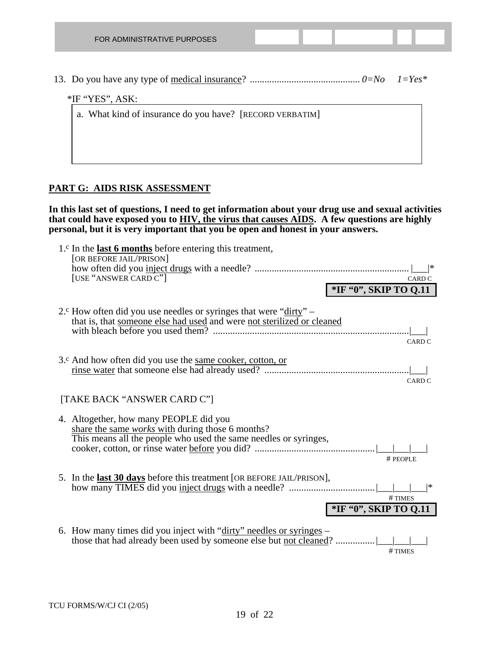| FOR ADMINISTRATIVE PURPOSES                              |  |  |  |
|----------------------------------------------------------|--|--|--|
|                                                          |  |  |  |
|                                                          |  |  |  |
| $*$ IF "YES", ASK:                                       |  |  |  |
| a. What kind of insurance do you have? [RECORD VERBATIM] |  |  |  |
|                                                          |  |  |  |
|                                                          |  |  |  |

#### **PART G: AIDS RISK ASSESSMENT**

**In this last set of questions, I need to get information about your drug use and sexual activities that could have exposed you to HIV, the virus that causes AIDS. A few questions are highly personal, but it is very important that you be open and honest in your answers.** 

| 1. $\circ$ In the last 6 months before entering this treatment,<br>[OR BEFORE JAIL/PRISON]                                                                     |                                      |
|----------------------------------------------------------------------------------------------------------------------------------------------------------------|--------------------------------------|
| [USE "ANSWER CARD C"]                                                                                                                                          | CARD C                               |
|                                                                                                                                                                | *IF "0", SKIP TO Q.11                |
| 2. <sup>c</sup> How often did you use needles or syringes that were "dirty" $-$<br>that is, that someone else had used and were not sterilized or cleaned      | CARD <sub>C</sub>                    |
| 3. <sup>c</sup> And how often did you use the <u>same cooker</u> , cotton, or                                                                                  | CARD <sub>C</sub>                    |
| [TAKE BACK "ANSWER CARD C"]                                                                                                                                    |                                      |
| 4. Altogether, how many PEOPLE did you<br>share the same works with during those 6 months?<br>This means all the people who used the same needles or syringes, | # PEOPLE                             |
| 5. In the last 30 days before this treatment [OR BEFORE JAIL/PRISON],                                                                                          | *<br>#TIMES<br>*IF "0", SKIP TO Q.11 |
| 6. How many times did you inject with "dirty" needles or syringes $-$<br>those that had already been used by someone else but not cleaned?                     | $#$ TIMES                            |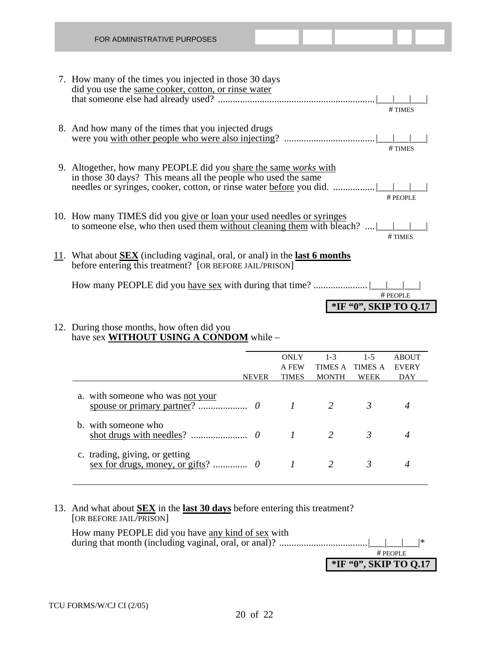| FOR ADMINISTRATIVE PURPOSES                                                                                                                               |
|-----------------------------------------------------------------------------------------------------------------------------------------------------------|
| 7. How many of the times you injected in those 30 days<br>did you use the same cooker, cotton, or rinse water<br>#TIMES                                   |
| 8. And how many of the times that you injected drugs<br>#TIMES                                                                                            |
| 9. Altogether, how many PEOPLE did you share the same works with<br>in those 30 days? This means all the people who used the same<br># PEOPLE             |
| 10. How many TIMES did you give or loan your used needles or syringes<br>to someone else, who then used them without cleaning them with bleach?<br>#TIMES |
| 11. What about <b>SEX</b> (including vaginal, oral, or anal) in the <b>last 6 months</b><br>before entering this treatment? [OR BEFORE JAIL/PRISON]       |
| # PEOPLE<br>*IF "0", SKIP TO Q.17                                                                                                                         |

#### 12. During those months, how often did you have sex **WITHOUT USING A CONDOM** while –

|                                  | <b>ONLY</b>  | $1 - 3$      | $1 - 5$        | <b>ABOUT</b> |  |
|----------------------------------|--------------|--------------|----------------|--------------|--|
|                                  | A FEW        | TIMES A      | <b>TIMES A</b> | <b>EVERY</b> |  |
| <b>NEVER</b>                     | <b>TIMES</b> | <b>MONTH</b> | WEEK           | DAY          |  |
| a. with someone who was not your |              |              |                |              |  |
| b. with someone who              |              |              |                |              |  |
| c. trading, giving, or getting   |              |              |                |              |  |

#### 13. And what about **SEX** in the **last 30 days** before entering this treatment? [OR BEFORE JAIL/PRISON]

 How many PEOPLE did you have any kind of sex with during that month (including vaginal, oral, or anal)? ....................................|\_\_\_|\_\_\_|\_\_\_|\* # PEOPLE **\*IF "0", SKIP TO Q.17**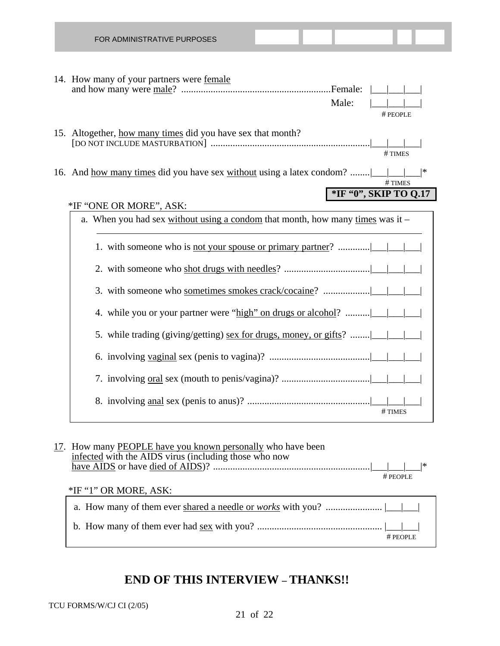| FOR ADMINISTRATIVE PURPOSES                                                                                 |       |                       |
|-------------------------------------------------------------------------------------------------------------|-------|-----------------------|
| 14. How many of your partners were female                                                                   | Male: | # PEOPLE              |
| 15. Altogether, how many times did you have sex that month?                                                 |       | #TIMES                |
| 16. And <u>how many times</u> did you have sex without using a latex condom?                                |       | #TIMES                |
| *IF "ONE OR MORE", ASK:<br>a. When you had sex without using a condom that month, how many times was it $-$ |       | *IF "0", SKIP TO Q.17 |
|                                                                                                             |       |                       |
|                                                                                                             |       |                       |
|                                                                                                             |       |                       |
| 4. while you or your partner were "high" on drugs or alcohol?                                               |       |                       |
| 5. while trading (giving/getting) sex for drugs, money, or gifts?                                           |       |                       |
|                                                                                                             |       |                       |
|                                                                                                             |       |                       |
|                                                                                                             |       | #TIMES                |

| 17. How many PEOPLE have you known personally who have been<br>infected with the AIDS virus (including those who now | $#$ PEOPLE |  |
|----------------------------------------------------------------------------------------------------------------------|------------|--|
| *IF "1" OR MORE, ASK:                                                                                                |            |  |
|                                                                                                                      |            |  |
|                                                                                                                      |            |  |

# **END OF THIS INTERVIEW – THANKS!!**

# PEOPLE